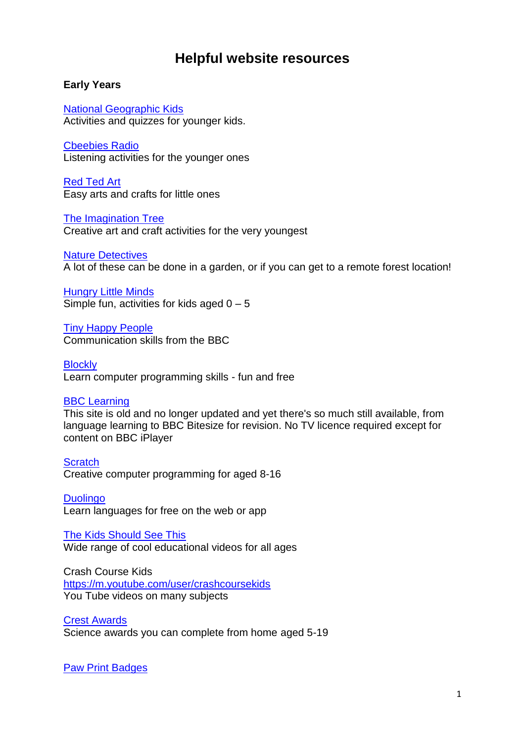# **Helpful website resources**

# **Early Years**

[National Geographic Kids](https://www.natgeokids.com/uk/) Activities and quizzes for younger kids.

[Cbeebies Radio](https://www.bbc.co.uk/cbeebies/radio) Listening activities for the younger ones

[Red Ted Art](https://www.redtedart.com/) Easy arts and crafts for little ones

[The Imagination Tree](https://theimaginationtree.com/) Creative art and craft activities for the very youngest

[Nature Detectives](https://naturedetectives.woodlandtrust.org.uk/) A lot of these can be done in a garden, or if you can get to a remote forest location!

[Hungry Little Minds](https://hungrylittleminds.campaign.gov.uk/) Simple fun, activities for kids aged  $0 - 5$ 

[Tiny Happy People](https://www.bbc.co.uk/tiny-happy-people) Communication skills from the BBC

**[Blockly](https://blockly.games/)** Learn computer programming skills - fun and free

### [BBC Learning](http://www.bbc.co.uk/learning/coursesearch)

This site is old and no longer updated and yet there's so much still available, from language learning to BBC Bitesize for revision. No TV licence required except for content on BBC iPlayer

**[Scratch](https://scratch.mit.edu/explore/projects/games/)** Creative computer programming for aged 8-16

**[Duolingo](https://www.duolingo.com/)** Learn languages for free on the web or app

[The Kids Should See This](https://thekidshouldseethis.com/) Wide range of cool educational videos for all ages

Crash Course Kids <https://m.youtube.com/user/crashcoursekids> You Tube videos on many subjects

[Crest Awards](https://www.crestawards.org/) Science awards you can complete from home aged 5-19

**[Paw Print Badges](https://www.pawprintbadges.co.uk/)**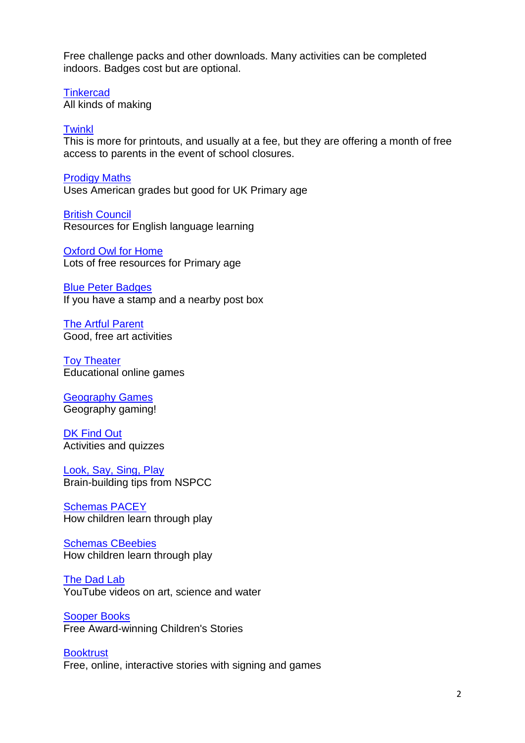Free challenge packs and other downloads. Many activities can be completed indoors. Badges cost but are optional.

**[Tinkercad](https://www.tinkercad.com/)** All kinds of making

#### **[Twinkl](https://www.twinkl.co.uk/)**

This is more for printouts, and usually at a fee, but they are offering a month of free access to parents in the event of school closures.

[Prodigy Maths](https://www.prodigygame.com/) Uses American grades but good for UK Primary age

[British Council](https://www.britishcouncil.org/school-resources/find) Resources for English language learning

[Oxford Owl for Home](https://www.oxfordowl.co.uk/for-home/) Lots of free resources for Primary age

[Blue Peter Badges](https://www.bbc.co.uk/cbbc/joinin/about-blue-peter-badges) If you have a stamp and a nearby post box

[The Artful Parent](https://www.facebook.com/artfulparent/) Good, free art activities

[Toy Theater](https://toytheater.com/) Educational online games

[Geography Games](https://world-geography-games.com/world.html) Geography gaming!

[DK Find Out](https://www.dkfindout.com/uk) Activities and quizzes

[Look, Say, Sing, Play](https://www.nspcc.org.uk/keeping-children-safe/support-for-parents/look-say-sing-play/) Brain-building tips from NSPCC

[Schemas PACEY](https://www.pacey.org.uk/working-in-childcare/spotlight-on/schemas/) How children learn through play

Schemas [CBeebies](https://www.bbc.co.uk/cbeebies/grownups/schemas) How children learn through play

**The [Dad](https://www.youtube.com/channel/UCc_-hy0u9-oKlNdMKHBudcQ) Lab** YouTube videos on art, science and water

[Sooper Books](https://sooperbooks.com/) Free Award-winning Children's Stories

**[Booktrust](https://www.booktrust.org.uk/books-and-reading/have-some-fun/storybooks-and-games/)** Free, online, interactive stories with signing and games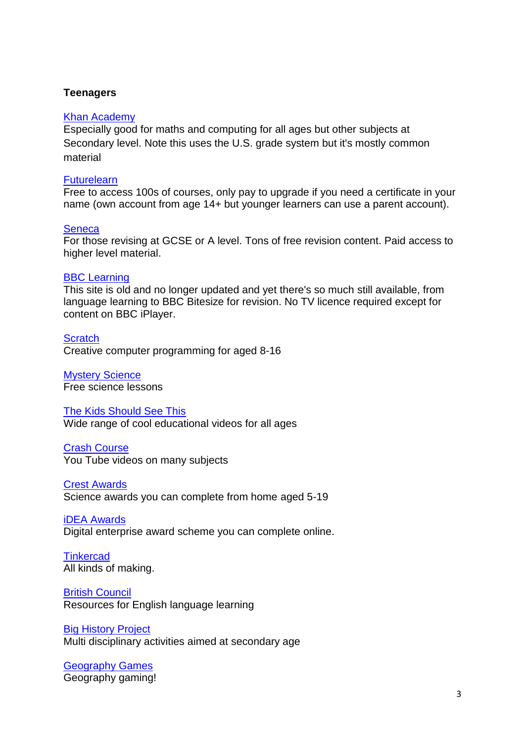## **Teenagers**

#### [Khan Academy](https://www.khanacademy.org/)

Especially good for maths and computing for all ages but other subjects at Secondary level. Note this uses the U.S. grade system but it's mostly common material

#### **[Futurelearn](https://www.futurelearn.com/)**

Free to access 100s of courses, only pay to upgrade if you need a certificate in your name (own account from age 14+ but younger learners can use a parent account).

#### **[Seneca](https://www.senecalearning.com/)**

For those revising at GCSE or A level. Tons of free revision content. Paid access to higher level material.

#### [BBC Learning](http://www.bbc.co.uk/learning/coursesearch/)

This site is old and no longer updated and yet there's so much still available, from language learning to BBC Bitesize for revision. No TV licence required except for content on BBC iPlayer.

**[Scratch](https://scratch.mit.edu/explore/projects/games/)** Creative computer programming for aged 8-16

[Mystery Science](https://mysteryscience.com/) Free science lessons

#### [The Kids Should See This](https://thekidshouldseethis.com/)

Wide range of cool educational videos for all ages

# [Crash Course](https://thecrashcourse.com/)

You Tube videos on many subjects

[Crest Awards](https://www.crestawards.org/) Science awards you can complete from home aged 5-19

[iDEA Awards](https://idea.org.uk/)

Digital enterprise award scheme you can complete online.

**[Tinkercad](https://www.tinkercad.com/)** All kinds of making.

[British Council](https://www.britishcouncil.org/school-resources/find) Resources for English language learning

#### **[Big History Project](https://www.bighistoryproject.com/home)** Multi disciplinary activities aimed at secondary age

[Geography Games](https://world-geography-games.com/world.html) Geography gaming!